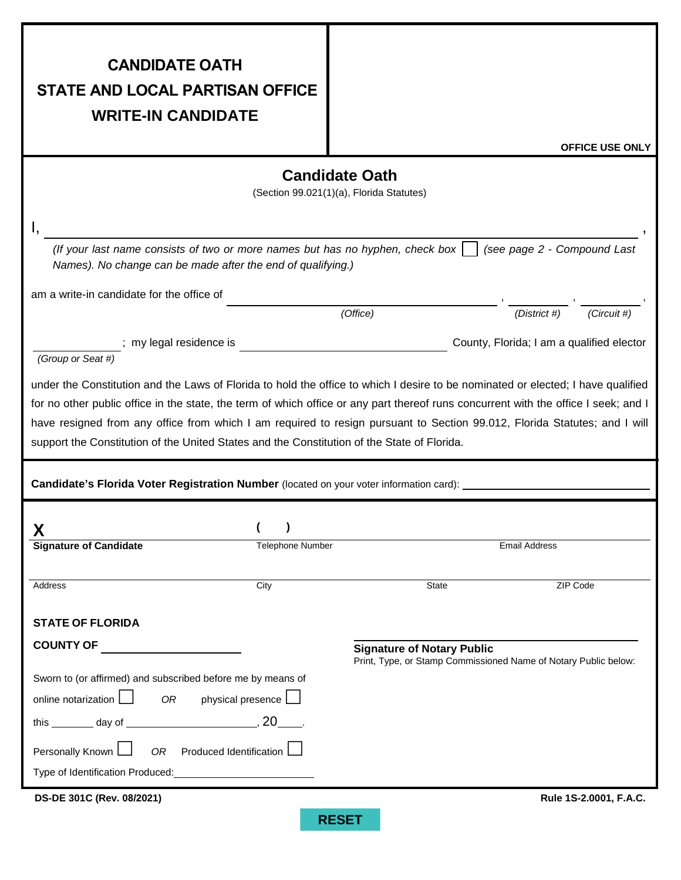| <b>CANDIDATE OATH</b>                                                                                                                                                                                                                                                                                                                                                                                                                                                                               |                                   |                                   |                                                                    |
|-----------------------------------------------------------------------------------------------------------------------------------------------------------------------------------------------------------------------------------------------------------------------------------------------------------------------------------------------------------------------------------------------------------------------------------------------------------------------------------------------------|-----------------------------------|-----------------------------------|--------------------------------------------------------------------|
| <b>STATE AND LOCAL PARTISAN OFFICE</b>                                                                                                                                                                                                                                                                                                                                                                                                                                                              |                                   |                                   |                                                                    |
| <b>WRITE-IN CANDIDATE</b>                                                                                                                                                                                                                                                                                                                                                                                                                                                                           |                                   |                                   |                                                                    |
|                                                                                                                                                                                                                                                                                                                                                                                                                                                                                                     |                                   |                                   | <b>OFFICE USE ONLY</b>                                             |
| <b>Candidate Oath</b>                                                                                                                                                                                                                                                                                                                                                                                                                                                                               |                                   |                                   |                                                                    |
| (Section 99.021(1)(a), Florida Statutes)                                                                                                                                                                                                                                                                                                                                                                                                                                                            |                                   |                                   |                                                                    |
|                                                                                                                                                                                                                                                                                                                                                                                                                                                                                                     |                                   |                                   |                                                                    |
| (If your last name consists of two or more names but has no hyphen, check box $\vert$ (see page 2 - Compound Last<br>Names). No change can be made after the end of qualifying.)                                                                                                                                                                                                                                                                                                                    |                                   |                                   |                                                                    |
| am a write-in candidate for the office of                                                                                                                                                                                                                                                                                                                                                                                                                                                           |                                   |                                   |                                                                    |
|                                                                                                                                                                                                                                                                                                                                                                                                                                                                                                     |                                   | (Office)                          | $\frac{1}{\sqrt{(District \#)}}$ , $\frac{1}{\sqrt{(Circuit \#)}}$ |
| (Group or Seat #)                                                                                                                                                                                                                                                                                                                                                                                                                                                                                   |                                   |                                   | County, Florida; I am a qualified elector                          |
| under the Constitution and the Laws of Florida to hold the office to which I desire to be nominated or elected; I have qualified<br>for no other public office in the state, the term of which office or any part thereof runs concurrent with the office I seek; and I<br>have resigned from any office from which I am required to resign pursuant to Section 99.012, Florida Statutes; and I will<br>support the Constitution of the United States and the Constitution of the State of Florida. |                                   |                                   |                                                                    |
| Candidate's Florida Voter Registration Number (located on your voter information card): ________                                                                                                                                                                                                                                                                                                                                                                                                    |                                   |                                   |                                                                    |
| Х                                                                                                                                                                                                                                                                                                                                                                                                                                                                                                   | $\rightarrow$                     |                                   |                                                                    |
| <b>Signature of Candidate</b>                                                                                                                                                                                                                                                                                                                                                                                                                                                                       | Telephone Number                  |                                   | <b>Email Address</b>                                               |
| Address                                                                                                                                                                                                                                                                                                                                                                                                                                                                                             | City                              | <b>State</b>                      | ZIP Code                                                           |
|                                                                                                                                                                                                                                                                                                                                                                                                                                                                                                     |                                   |                                   |                                                                    |
| <b>STATE OF FLORIDA</b>                                                                                                                                                                                                                                                                                                                                                                                                                                                                             |                                   |                                   |                                                                    |
| <b>COUNTY OF</b>                                                                                                                                                                                                                                                                                                                                                                                                                                                                                    |                                   | <b>Signature of Notary Public</b> |                                                                    |
| Print, Type, or Stamp Commissioned Name of Notary Public below:<br>Sworn to (or affirmed) and subscribed before me by means of                                                                                                                                                                                                                                                                                                                                                                      |                                   |                                   |                                                                    |
| online notarization $\Box$<br>physical presence<br>OR                                                                                                                                                                                                                                                                                                                                                                                                                                               |                                   |                                   |                                                                    |
| this $\_\_\_\_$ day of $\_\_\_\_\_\_$ , 20 $\_\_\_\_\_$                                                                                                                                                                                                                                                                                                                                                                                                                                             |                                   |                                   |                                                                    |
| Personally Known $\Box$                                                                                                                                                                                                                                                                                                                                                                                                                                                                             | OR Produced Identification $\Box$ |                                   |                                                                    |
|                                                                                                                                                                                                                                                                                                                                                                                                                                                                                                     |                                   |                                   |                                                                    |
| DS-DE 301C (Rev. 08/2021)                                                                                                                                                                                                                                                                                                                                                                                                                                                                           |                                   |                                   | Rule 1S-2.0001, F.A.C.                                             |
|                                                                                                                                                                                                                                                                                                                                                                                                                                                                                                     |                                   | <b>RESET</b>                      |                                                                    |